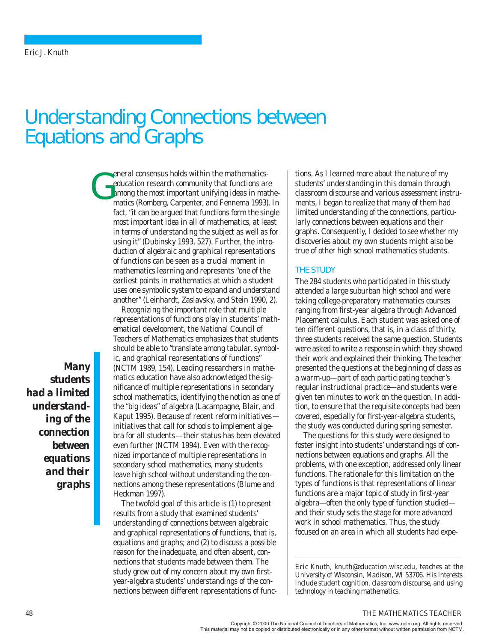# Understanding Connections between Equations and Graphs

eneral consensus holds within the mathematicseducation research community that functions are among the most important unifying ideas in mathematics (Romberg, Carpenter, and Fennema 1993). In fact, "it can be argued that functions form the single most important idea in all of mathematics, at least in terms of understanding the subject as well as for using it" (Dubinsky 1993, 527). Further, the introduction of algebraic and graphical representations of functions can be seen as a crucial moment in mathematics learning and represents "one of the earliest points in mathematics at which a student uses one symbolic system to expand and understand another" (Leinhardt, Zaslavsky, and Stein 1990, 2). G

> Recognizing the important role that multiple representations of functions play in students' mathematical development, the National Council of Teachers of Mathematics emphasizes that students should be able to "translate among tabular, symbolic, and graphical representations of functions" (NCTM 1989, 154). Leading researchers in mathematics education have also acknowledged the significance of multiple representations in secondary school mathematics, identifying the notion as one of the "big ideas" of algebra (Lacampagne, Blair, and Kaput 1995). Because of recent reform initiatives initiatives that call for schools to implement algebra for all students—their status has been elevated even further (NCTM 1994). Even with the recognized importance of multiple representations in secondary school mathematics, many students leave high school without understanding the connections among these representations (Blume and Heckman 1997).

The twofold goal of this article is (1) to present results from a study that examined students' understanding of connections between algebraic and graphical representations of functions, that is, equations and graphs; and (2) to discuss a possible reason for the inadequate, and often absent, connections that students made between them. The study grew out of my concern about my own firstyear-algebra students' understandings of the connections between different representations of functions. As I learned more about the nature of my students' understanding in this domain through classroom discourse and various assessment instruments, I began to realize that many of them had limited understanding of the connections, particularly connections between equations and their graphs. Consequently, I decided to see whether my discoveries about my own students might also be true of other high school mathematics students.

#### THE STUDY

The 284 students who participated in this study attended a large suburban high school and were taking college-preparatory mathematics courses ranging from first-year algebra through Advanced Placement calculus. Each student was asked one of ten different questions, that is, in a class of thirty, three students received the same question. Students were asked to write a response in which they showed their work and explained their thinking. The teacher presented the questions at the beginning of class as a warm-up—part of each participating teacher's regular instructional practice—and students were given ten minutes to work on the question. In addition, to ensure that the requisite concepts had been covered, especially for first-year-algebra students, the study was conducted during spring semester.

The questions for this study were designed to foster insight into students' understandings of connections between equations and graphs. All the problems, with one exception, addressed only linear functions. The rationale for this limitation on the types of functions is that representations of linear functions are a major topic of study in first-year algebra—often the only type of function studied and their study sets the stage for more advanced work in school mathematics. Thus, the study focused on an area in which all students had expe-

*Eric Knuth, knuth@education.wisc.edu, teaches at the University of Wisconsin, Madison, WI 53706. His interests include student cognition, classroom discourse, and using technology in teaching mathematics.*

# *Many students had a limited understanding of the connection between equations and their graphs*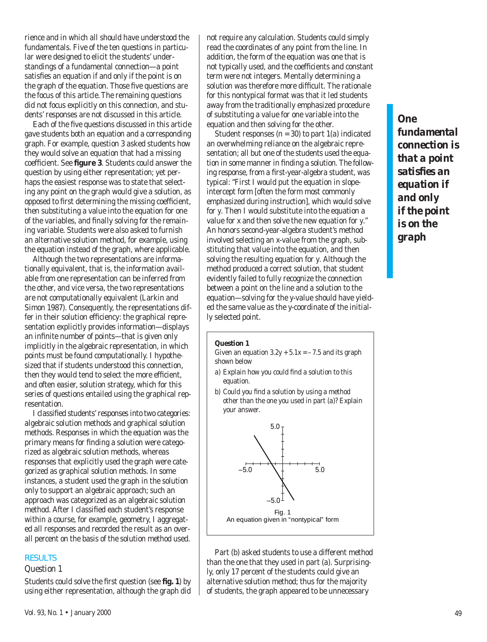rience and in which all should have understood the fundamentals. Five of the ten questions in particular were designed to elicit the students' understandings of a fundamental connection—a point satisfies an equation if and only if the point is on the graph of the equation. Those five questions are the focus of this article. The remaining questions did not focus explicitly on this connection, and students' responses are not discussed in this article.

Each of the five questions discussed in this article gave students both an equation and a corresponding graph. For example, question 3 asked students how they would solve an equation that had a missing coefficient. See **figure 3**. Students could answer the question by using either representation; yet perhaps the easiest response was to state that selecting any point on the graph would give a solution, as opposed to first determining the missing coefficient, then substituting a value into the equation for one of the variables, and finally solving for the remaining variable. Students were also asked to furnish an alternative solution method, for example, using the equation instead of the graph, where applicable.

Although the two representations are informationally equivalent, that is, the information available from one representation can be inferred from the other, and vice versa, the two representations are not computationally equivalent (Larkin and Simon 1987). Consequently, the representations differ in their solution efficiency: the graphical representation explicitly provides information—displays an infinite number of points—that is given only implicitly in the algebraic representation, in which points must be found computationally. I hypothesized that if students understood this connection, then they would tend to select the more efficient, and often easier, solution strategy, which for this series of questions entailed using the graphical representation.

I classified students' responses into two categories: algebraic solution methods and graphical solution methods. Responses in which the equation was the primary means for finding a solution were categorized as algebraic solution methods, whereas responses that explicitly used the graph were categorized as graphical solution methods. In some instances, a student used the graph in the solution only to support an algebraic approach; such an approach was categorized as an algebraic solution method. After I classified each student's response within a course, for example, geometry, I aggregated all responses and recorded the result as an overall percent on the basis of the solution method used.

#### **RESULTS**

#### *Question 1*

Students could solve the first question (see **fig. 1**) by using either representation, although the graph did not require any calculation. Students could simply read the coordinates of any point from the line. In addition, the form of the equation was one that is not typically used, and the coefficients and constant term were not integers. Mentally determining a solution was therefore more difficult. The rationale for this nontypical format was that it led students away from the traditionally emphasized procedure of substituting a value for one variable into the equation and then solving for the other.

Student responses  $(n = 30)$  to part  $1(a)$  indicated an overwhelming reliance on the algebraic representation; all but one of the students used the equation in some manner in finding a solution. The following response, from a first-year-algebra student, was typical: "First I would put the equation in slopeintercept form [often the form most commonly emphasized during instruction], which would solve for *y*. Then I would substitute into the equation a value for *x* and then solve the new equation for *y*." An honors second-year-algebra student's method involved selecting an *x-*value from the graph, substituting that value into the equation, and then solving the resulting equation for *y*. Although the method produced a correct solution, that student evidently failed to fully recognize the connection between a point on the line and a solution to the equation—solving for the *y*-value should have yielded the same value as the *y*-coordinate of the initially selected point.

# *One fundamental connection is that a point satisfies an equation if and only if the point is on the graph*

#### *Question 1*

Given an equation  $3.2y + 5.1x = -7.5$  and its graph shown below

- *a*) Explain how you could find a solution to this equation.
- *b*) Could you find a solution by using a method other than the one you used in part (*a*)? Explain your answer.



Part (*b*) asked students to use a different method than the one that they used in part (*a*). Surprisingly, only 17 percent of the students could give an alternative solution method; thus for the majority of students, the graph appeared to be unnecessary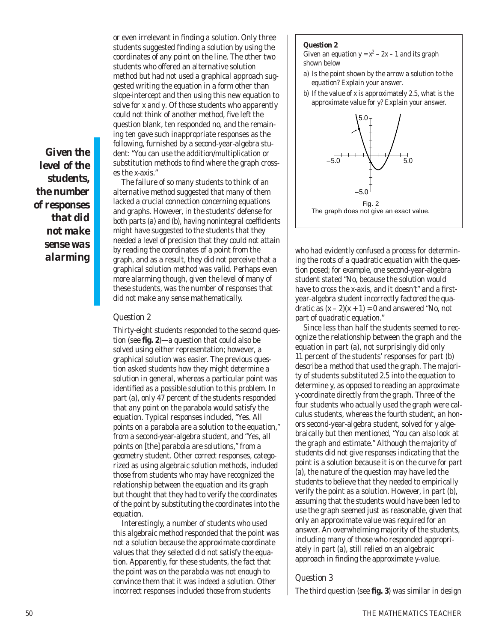or even irrelevant in finding a solution. Only three students suggested finding a solution by using the coordinates of any point on the line. The other two students who offered an alternative solution method but had not used a graphical approach suggested writing the equation in a form other than slope-intercept and then using this new equation to solve for *x* and *y*. Of those students who apparently could not think of another method, five left the question blank, ten responded no, and the remaining ten gave such inappropriate responses as the following, furnished by a second-year-algebra student: "You can use the addition/multiplication or substitution methods to find where the graph crosses the *x*-axis."

*Given the level of the students, the number of responses that did not make sense was alarming*

The failure of so many students to think of an alternative method suggested that many of them lacked a crucial connection concerning equations and graphs. However, in the students' defense for both parts (*a*) and (*b*), having nonintegral coefficients might have suggested to the students that they needed a level of precision that they could not attain by reading the coordinates of a point from the graph, and as a result, they did not perceive that a graphical solution method was valid. Perhaps even more alarming though, given the level of many of these students, was the number of responses that did not make any sense mathematically.

# *Question 2*

Thirty-eight students responded to the second question (see **fig. 2**)—a question that could also be solved using either representation; however, a graphical solution was easier. The previous question asked students how they might determine a solution in general, whereas a particular point was identified as a possible solution to this problem. In part (*a*), only 47 percent of the students responded that any point on the parabola would satisfy the equation. Typical responses included, "Yes. All points on a parabola are a solution to the equation," from a second-year-algebra student, and "Yes, all points on [the] parabola are solutions," from a geometry student. Other correct responses, categorized as using algebraic solution methods, included those from students who may have recognized the relationship between the equation and its graph but thought that they had to verify the coordinates of the point by substituting the coordinates into the equation.

Interestingly, a number of students who used this algebraic method responded that the point was not a solution because the approximate coordinate values that they selected did not satisfy the equation. Apparently, for these students, the fact that the point was on the parabola was not enough to convince them that it was indeed a solution. Other incorrect responses included those from students

#### *Question 2*

Given an equation  $y = x^2 - 2x - 1$  and its graph shown below

- *a*) Is the point shown by the arrow a solution to the equation? Explain your answer.
- *b*) If the value of *x* is approximately 2.5, what is the approximate value for *y?* Explain your answer.



who had evidently confused a process for determining the roots of a quadratic equation with the question posed; for example, one second-year-algebra student stated "No, because the solution would have to cross the *x*-axis, and it doesn't" and a firstyear-algebra student incorrectly factored the quadratic as  $(x - 2)(x + 1) = 0$  and answered "No, not part of quadratic equation."

Since less than half the students seemed to recognize the relationship between the graph and the equation in part (*a*), not surprisingly did only 11 percent of the students' responses for part (*b*) describe a method that used the graph. The majority of students substituted 2.5 into the equation to determine *y,* as opposed to reading an approximate *y*-coordinate directly from the graph. Three of the four students who actually used the graph were calculus students, whereas the fourth student, an honors second-year-algebra student, solved for *y* algebraically but then mentioned, "You can also look at the graph and estimate." Although the majority of students did not give responses indicating that the point is a solution because it is on the curve for part (*a*), the nature of the question may have led the students to believe that they needed to empirically verify the point as a solution. However, in part (*b*), assuming that the students would have been led to use the graph seemed just as reasonable, given that only an approximate value was required for an answer. An overwhelming majority of the students, including many of those who responded appropriately in part (*a*), still relied on an algebraic approach in finding the approximate *y*-value.

# *Question 3*

The third question (see **fig. 3**) was similar in design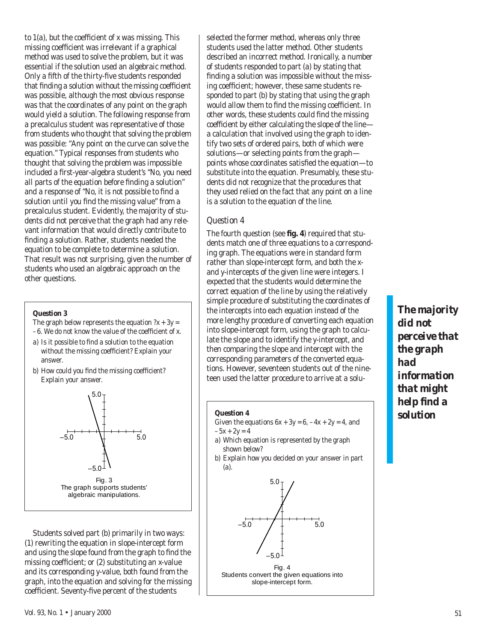to 1(*a*), but the coefficient of *x* was missing. This missing coefficient was irrelevant if a graphical method was used to solve the problem, but it was essential if the solution used an algebraic method. Only a fifth of the thirty-five students responded that finding a solution without the missing coefficient was possible, although the most obvious response was that the coordinates of any point on the graph would yield a solution. The following response from a precalculus student was representative of those from students who thought that solving the problem was possible: "Any point on the curve can solve the equation." Typical responses from students who thought that solving the problem was impossible included a first-year-algebra student's "No, you need all parts of the equation before finding a solution" and a response of "No, it is not possible to find a solution until you find the missing value" from a precalculus student. Evidently, the majority of students did not perceive that the graph had any relevant information that would directly contribute to finding a solution. Rather, students needed the equation to be complete to determine a solution. That result was not surprising, given the number of students who used an algebraic approach on the other questions.

## *Question 3*

The graph below represents the equation  $?x + 3y =$ 

- –6. We do not know the value of the coefficient of *x*.
- *a*) Is it possible to find a solution to the equation without the missing coefficient? Explain your answer.
- *b*) How could you find the missing coefficient? Explain your answer.



Students solved part (*b*) primarily in two ways: (1) rewriting the equation in slope-intercept form and using the slope found from the graph to find the missing coefficient; or (2) substituting an *x-*value and its corresponding *y-*value, both found from the graph, into the equation and solving for the missing coefficient. Seventy-five percent of the students

selected the former method, whereas only three students used the latter method. Other students described an incorrect method. Ironically, a number of students responded to part (*a*) by stating that finding a solution was impossible without the missing coefficient; however, these same students responded to part (*b*) by stating that using the graph would allow them to find the missing coefficient. In other words, these students could find the missing coefficient by either calculating the slope of the line a calculation that involved using the graph to identify two sets of ordered pairs, both of which were solutions—or selecting points from the graph points whose coordinates satisfied the equation—to substitute into the equation. Presumably, these students did not recognize that the procedures that they used relied on the fact that any point on a line is a solution to the equation of the line.

# *Question 4*

The fourth question (see **fig. 4**) required that students match one of three equations to a corresponding graph. The equations were in standard form rather than slope-intercept form, and both the *x*and *y*-intercepts of the given line were integers. I expected that the students would determine the correct equation of the line by using the relatively simple procedure of substituting the coordinates of the intercepts into each equation instead of the more lengthy procedure of converting each equation into slope-intercept form, using the graph to calculate the slope and to identify the *y*-intercept, and then comparing the slope and intercept with the corresponding parameters of the converted equations. However, seventeen students out of the nineteen used the latter procedure to arrive at a solu-

## *Question 4*

Given the equations  $6x + 3y = 6, -4x + 2y = 4$ , and  $-5x + 2y = 4$ 

*a*) Which equation is represented by the graph shown below?

*b*) Explain how you decided on your answer in part (*a*).



*The majority did not perceive that the graph had information that might help find a solution*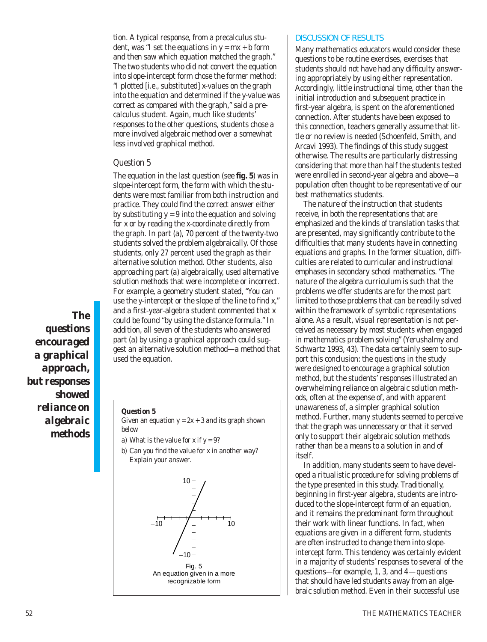tion. A typical response, from a precalculus student, was "I set the equations in  $y = mx + b$  form and then saw which equation matched the graph." The two students who did not convert the equation into slope-intercept form chose the former method: "I plotted [i.e., substituted] *x*-values on the graph into the equation and determined if the *y*-value was correct as compared with the graph," said a precalculus student. Again, much like students' responses to the other questions, students chose a more involved algebraic method over a somewhat less involved graphical method.

## *Question 5*

The equation in the last question (see **fig. 5**) was in slope-intercept form, the form with which the students were most familiar from both instruction and practice. They could find the correct answer either by substituting  $y = 9$  into the equation and solving for *x* or by reading the *x*-coordinate directly from the graph. In part (*a*), 70 percent of the twenty-two students solved the problem algebraically. Of those students, only 27 percent used the graph as their alternative solution method. Other students, also approaching part (*a*) algebraically, used alternative solution methods that were incomplete or incorrect. For example, a geometry student stated, "You can use the *y*-intercept or the slope of the line to find *x,*" and a first-year-algebra student commented that *x* could be found "by using the distance formula." In addition, all seven of the students who answered part (*a*) by using a graphical approach could suggest an alternative solution method—a method that used the equation.

*The questions encouraged a graphical approach, but responses showed reliance on algebraic methods*

#### *Question 5*

Given an equation  $y = 2x + 3$  and its graph shown below

- *a*) What is the value for *x* if  $y = 9$ ?
- *b*) Can you find the value for *x* in another way? Explain your answer.



#### DISCUSSION OF RESULTS

Many mathematics educators would consider these questions to be routine exercises, exercises that students should not have had any difficulty answering appropriately by using either representation. Accordingly, little instructional time, other than the initial introduction and subsequent practice in first-year algebra, is spent on the aforementioned connection. After students have been exposed to this connection, teachers generally assume that little or no review is needed (Schoenfeld, Smith, and Arcavi 1993). The findings of this study suggest otherwise. The results are particularly distressing considering that more than half the students tested were enrolled in second-year algebra and above—a population often thought to be representative of our best mathematics students.

The nature of the instruction that students receive, in both the representations that are emphasized and the kinds of translation tasks that are presented, may significantly contribute to the difficulties that many students have in connecting equations and graphs. In the former situation, difficulties are related to curricular and instructional emphases in secondary school mathematics. "The nature of the algebra curriculum is such that the problems we offer students are for the most part limited to those problems that can be readily solved within the framework of symbolic representations alone. As a result, visual representation is not perceived as necessary by most students when engaged in mathematics problem solving" (Yerushalmy and Schwartz 1993, 43). The data certainly seem to support this conclusion: the questions in the study were designed to encourage a graphical solution method, but the students' responses illustrated an overwhelming reliance on algebraic solution methods, often at the expense of, and with apparent unawareness of, a simpler graphical solution method. Further, many students seemed to perceive that the graph was unnecessary or that it served only to support their algebraic solution methods rather than be a means to a solution in and of itself.

In addition, many students seem to have developed a ritualistic procedure for solving problems of the type presented in this study. Traditionally, beginning in first-year algebra, students are introduced to the slope-intercept form of an equation, and it remains the predominant form throughout their work with linear functions. In fact, when equations are given in a different form, students are often instructed to change them into slopeintercept form. This tendency was certainly evident in a majority of students' responses to several of the questions—for example, 1, 3, and 4—questions that should have led students away from an algebraic solution method. Even in their successful use